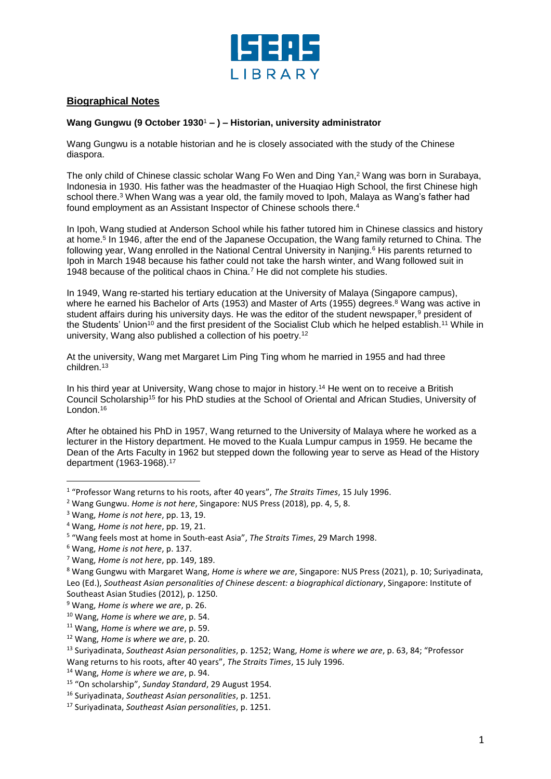

## **Biographical Notes**

## **Wang Gungwu (9 October 1930**<sup>1</sup> **– ) – Historian, university administrator**

Wang Gungwu is a notable historian and he is closely associated with the study of the Chinese diaspora.

The only child of Chinese classic scholar Wang Fo Wen and Ding Yan, <sup>2</sup> Wang was born in Surabaya, Indonesia in 1930. His father was the headmaster of the Huaqiao High School, the first Chinese high school there.<sup>3</sup> When Wang was a year old, the family moved to Ipoh, Malaya as Wang's father had found employment as an Assistant Inspector of Chinese schools there. 4

In Ipoh, Wang studied at Anderson School while his father tutored him in Chinese classics and history at home. 5 In 1946, after the end of the Japanese Occupation, the Wang family returned to China. The following year, Wang enrolled in the National Central University in Nanjing. <sup>6</sup> His parents returned to Ipoh in March 1948 because his father could not take the harsh winter, and Wang followed suit in 1948 because of the political chaos in China.<sup>7</sup> He did not complete his studies.

In 1949, Wang re-started his tertiary education at the University of Malaya (Singapore campus), where he earned his Bachelor of Arts (1953) and Master of Arts (1955) degrees. <sup>8</sup> Wang was active in student affairs during his university days. He was the editor of the student newspaper,<sup>9</sup> president of the Students' Union<sup>10</sup> and the first president of the Socialist Club which he helped establish.<sup>11</sup> While in university, Wang also published a collection of his poetry. 12

At the university, Wang met Margaret Lim Ping Ting whom he married in 1955 and had three children.<sup>13</sup>

In his third year at University, Wang chose to major in history.<sup>14</sup> He went on to receive a British Council Scholarship<sup>15</sup> for his PhD studies at the School of Oriental and African Studies, University of London.<sup>16</sup>

After he obtained his PhD in 1957, Wang returned to the University of Malaya where he worked as a lecturer in the History department. He moved to the Kuala Lumpur campus in 1959. He became the Dean of the Arts Faculty in 1962 but stepped down the following year to serve as Head of the History department (1963-1968).<sup>17</sup>

l

<sup>1</sup> "Professor Wang returns to his roots, after 40 years", *The Straits Times*, 15 July 1996.

<sup>2</sup> Wang Gungwu. *Home is not here*, Singapore: NUS Press (2018), pp. 4, 5, 8.

<sup>3</sup> Wang, *Home is not here*, pp. 13, 19.

<sup>4</sup> Wang, *Home is not here*, pp. 19, 21.

<sup>5</sup> "Wang feels most at home in South-east Asia", *The Straits Times*, 29 March 1998.

<sup>6</sup> Wang, *Home is not here*, p. 137.

<sup>7</sup> Wang, *Home is not here*, pp. 149, 189.

<sup>8</sup> Wang Gungwu with Margaret Wang, *Home is where we are*, Singapore: NUS Press (2021), p. 10; Suriyadinata, Leo (Ed.), *Southeast Asian personalities of Chinese descent: a biographical dictionary*, Singapore: Institute of Southeast Asian Studies (2012), p. 1250.

<sup>9</sup> Wang, *Home is where we are*, p. 26.

<sup>10</sup> Wang, *Home is where we are*, p. 54.

<sup>11</sup> Wang, *Home is where we are*, p. 59.

<sup>12</sup> Wang, *Home is where we are*, p. 20.

<sup>13</sup> Suriyadinata, *Southeast Asian personalities*, p. 1252; Wang, *Home is where we are*, p. 63, 84; "Professor Wang returns to his roots, after 40 years", *The Straits Times*, 15 July 1996.

<sup>14</sup> Wang, *Home is where we are*, p. 94.

<sup>15</sup> "On scholarship", *Sunday Standard*, 29 August 1954.

<sup>16</sup> Suriyadinata, *Southeast Asian personalities*, p. 1251.

<sup>17</sup> Suriyadinata, *Southeast Asian personalities*, p. 1251.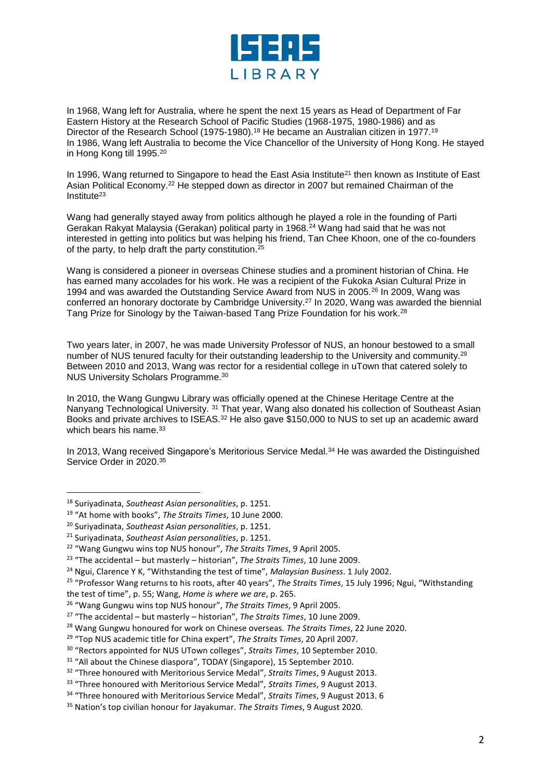

In 1968, Wang left for Australia, where he spent the next 15 years as Head of Department of Far Eastern History at the Research School of Pacific Studies (1968-1975, 1980-1986) and as Director of the Research School (1975-1980).<sup>18</sup> He became an Australian citizen in 1977.<sup>19</sup> In 1986, Wang left Australia to become the Vice Chancellor of the University of Hong Kong. He stayed in Hong Kong till 1995.<sup>20</sup>

In 1996, Wang returned to Singapore to head the East Asia Institute<sup>21</sup> then known as Institute of East Asian Political Economy. <sup>22</sup> He stepped down as director in 2007 but remained Chairman of the Institute<sup>23</sup>

Wang had generally stayed away from politics although he played a role in the founding of Parti Gerakan Rakyat Malaysia (Gerakan) political party in 1968.<sup>24</sup> Wang had said that he was not interested in getting into politics but was helping his friend, Tan Chee Khoon, one of the co-founders of the party, to help draft the party constitution. 25

Wang is considered a pioneer in overseas Chinese studies and a prominent historian of China. He has earned many accolades for his work. He was a recipient of the Fukoka Asian Cultural Prize in 1994 and was awarded the Outstanding Service Award from NUS in 2005.<sup>26</sup> In 2009, Wang was conferred an honorary doctorate by Cambridge University.<sup>27</sup> In 2020, Wang was awarded the biennial Tang Prize for Sinology by the Taiwan-based Tang Prize Foundation for his work.<sup>28</sup>

Two years later, in 2007, he was made University Professor of NUS, an honour bestowed to a small number of NUS tenured faculty for their outstanding leadership to the University and community. 29 Between 2010 and 2013, Wang was rector for a residential college in uTown that catered solely to NUS University Scholars Programme.<sup>30</sup>

In 2010, the Wang Gungwu Library was officially opened at the Chinese Heritage Centre at the Nanyang Technological University. 31 That year, Wang also donated his collection of Southeast Asian Books and private archives to ISEAS.<sup>32</sup> He also gave \$150,000 to NUS to set up an academic award which bears his name.<sup>33</sup>

In 2013, Wang received Singapore's Meritorious Service Medal.<sup>34</sup> He was awarded the Distinguished Service Order in 2020.<sup>35</sup>

l

<sup>18</sup> Suriyadinata, *Southeast Asian personalities*, p. 1251.

<sup>19</sup> "At home with books", *The Straits Times*, 10 June 2000.

<sup>20</sup> Suriyadinata, *Southeast Asian personalities*, p. 1251.

<sup>21</sup> Suriyadinata, *Southeast Asian personalities*, p. 1251.

<sup>22</sup> "Wang Gungwu wins top NUS honour", *The Straits Times*, 9 April 2005.

<sup>23</sup> "The accidental – but masterly – historian", *The Straits Times*, 10 June 2009.

<sup>&</sup>lt;sup>24</sup> Ngui, Clarence Y K, "Withstanding the test of time", *Malaysian Business*. 1 July 2002.

<sup>25</sup> "Professor Wang returns to his roots, after 40 years", *The Straits Times*, 15 July 1996; Ngui, "Withstanding the test of time", p. 55; Wang, *Home is where we are*, p. 265.

<sup>26</sup> "Wang Gungwu wins top NUS honour", *The Straits Times*, 9 April 2005.

<sup>27</sup> "The accidental – but masterly – historian", *The Straits Times*, 10 June 2009.

<sup>28</sup> Wang Gungwu honoured for work on Chinese overseas. *The Straits Times*, 22 June 2020.

<sup>29</sup> "Top NUS academic title for China expert", *The Straits Times*, 20 April 2007.

<sup>30</sup> "Rectors appointed for NUS UTown colleges", *Straits Times*, 10 September 2010.

<sup>&</sup>lt;sup>31</sup> "All about the Chinese diaspora", TODAY (Singapore), 15 September 2010.

<sup>32</sup> "Three honoured with Meritorious Service Medal", *Straits Times*, 9 August 2013.

<sup>33</sup> "Three honoured with Meritorious Service Medal", *Straits Times*, 9 August 2013.

<sup>34</sup> "Three honoured with Meritorious Service Medal", *Straits Times*, 9 August 2013. 6

<sup>35</sup> Nation's top civilian honour for Jayakumar. *The Straits Times*, 9 August 2020.